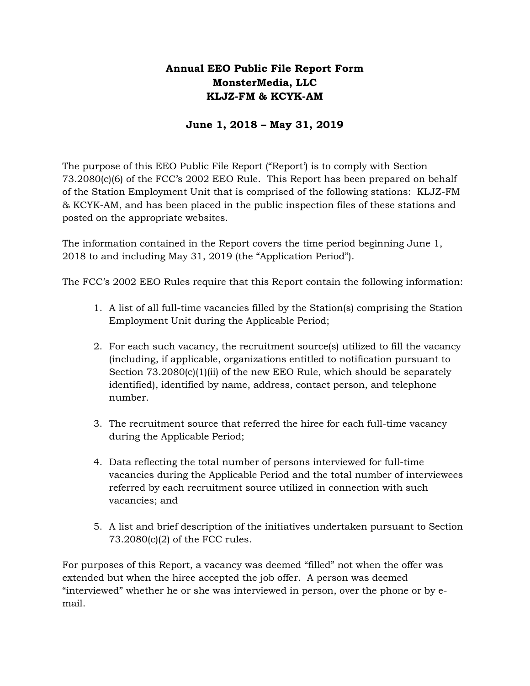# **Annual EEO Public File Report Form MonsterMedia, LLC KLJZ-FM & KCYK-AM**

### **June 1, 2018 – May 31, 2019**

The purpose of this EEO Public File Report ("Report') is to comply with Section 73.2080(c)(6) of the FCC's 2002 EEO Rule. This Report has been prepared on behalf of the Station Employment Unit that is comprised of the following stations: KLJZ-FM & KCYK-AM, and has been placed in the public inspection files of these stations and posted on the appropriate websites.

The information contained in the Report covers the time period beginning June 1, 2018 to and including May 31, 2019 (the "Application Period").

The FCC's 2002 EEO Rules require that this Report contain the following information:

- 1. A list of all full-time vacancies filled by the Station(s) comprising the Station Employment Unit during the Applicable Period;
- 2. For each such vacancy, the recruitment source(s) utilized to fill the vacancy (including, if applicable, organizations entitled to notification pursuant to Section  $73.2080(c)(1)(ii)$  of the new EEO Rule, which should be separately identified), identified by name, address, contact person, and telephone number.
- 3. The recruitment source that referred the hiree for each full-time vacancy during the Applicable Period;
- 4. Data reflecting the total number of persons interviewed for full-time vacancies during the Applicable Period and the total number of interviewees referred by each recruitment source utilized in connection with such vacancies; and
- 5. A list and brief description of the initiatives undertaken pursuant to Section 73.2080(c)(2) of the FCC rules.

For purposes of this Report, a vacancy was deemed "filled" not when the offer was extended but when the hiree accepted the job offer. A person was deemed "interviewed" whether he or she was interviewed in person, over the phone or by email.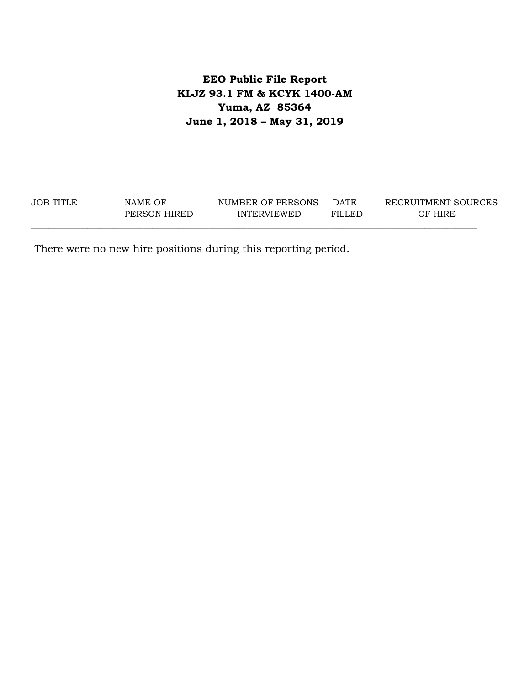# **EEO Public File Report KLJZ 93.1 FM & KCYK 1400-AM Yuma, AZ 85364 June 1, 2018 – May 31, 2019**

| <b>JOB TITLE</b> | NAME OF      | NUMBER OF PERSONS  | <b>DATE</b> | RECRUITMENT SOURCES |
|------------------|--------------|--------------------|-------------|---------------------|
|                  | PERSON HIRED | <b>INTERVIEWED</b> | FILLED      | OF HIRE             |
|                  |              |                    |             |                     |

There were no new hire positions during this reporting period.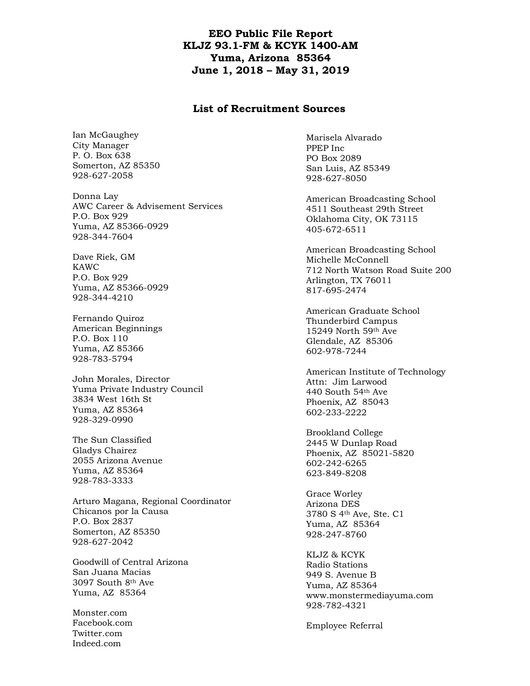### **EEO Public File Report KLJZ 93.1-FM & KCYK 1400-AM Yuma, Arizona 85364 June 1, 2018 – May 31, 2019**

#### **List of Recruitment Sources**

Ian McGaughey City Manager P. O. Box 638 Somerton, AZ 85350 928-627-2058

Donna Lay AWC Career & Advisement Services P.O. Box 929 Yuma, AZ 85366-0929 928-344-7604

Dave Riek, GM KAWC P.O. Box 929 Yuma, AZ 85366-0929 928-344-4210

Fernando Quiroz American Beginnings P.O. Box 110 Yuma, AZ 85366 928-783-5794

John Morales, Director Yuma Private Industry Council 3834 West 16th St Yuma, AZ 85364 928-329-0990

The Sun Classified Gladys Chairez 2055 Arizona Avenue Yuma, AZ 85364 928-783-3333

Arturo Magana, Regional Coordinator Chicanos por la Causa P.O. Box 2837 Somerton, AZ 85350 928-627-2042

Goodwill of Central Arizona San Juana Macias 3097 South 8th Ave Yuma, AZ 85364

Monster.com Facebook.com Twitter.com Indeed.com

Marisela Alvarado PPEP Inc PO Box 2089 San Luis, AZ 85349 928-627-8050

American Broadcasting School 4511 Southeast 29th Street Oklahoma City, OK 73115 405-672-6511

American Broadcasting School Michelle McConnell 712 North Watson Road Suite 200 Arlington, TX 76011 817-695-2474

American Graduate School Thunderbird Campus 15249 North 59th Ave Glendale, AZ 85306 602-978-7244

American Institute of Technology Attn: Jim Larwood 440 South 54th Ave Phoenix, AZ 85043 602-233-2222

Brookland College 2445 W Dunlap Road Phoenix, AZ 85021-5820 602-242-6265 623-849-8208

Grace Worley Arizona DES 3780 S 4th Ave, Ste. C1 Yuma, AZ 85364 928-247-8760

KLJZ & KCYK Radio Stations 949 S. Avenue B Yuma, AZ 85364 www.monstermediayuma.com 928-782-4321

Employee Referral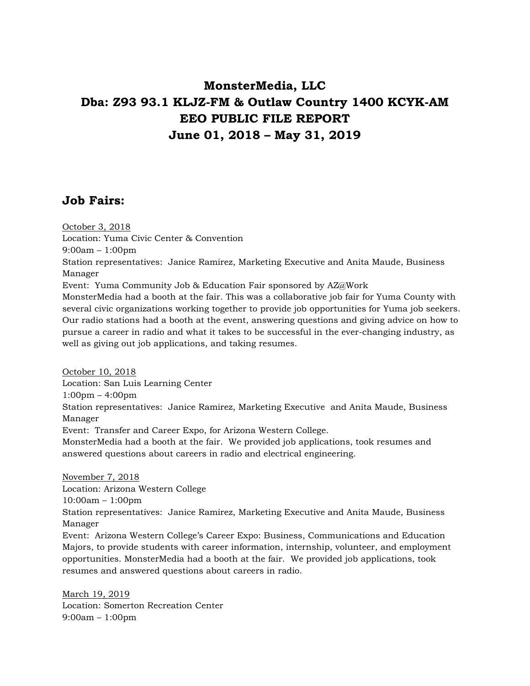# **MonsterMedia, LLC Dba: Z93 93.1 KLJZ-FM & Outlaw Country 1400 KCYK-AM EEO PUBLIC FILE REPORT June 01, 2018 – May 31, 2019**

# **Job Fairs:**

October 3, 2018 Location: Yuma Civic Center & Convention 9:00am – 1:00pm Station representatives: Janice Ramirez, Marketing Executive and Anita Maude, Business Manager Event: Yuma Community Job & Education Fair sponsored by AZ@Work MonsterMedia had a booth at the fair. This was a collaborative job fair for Yuma County with several civic organizations working together to provide job opportunities for Yuma job seekers. Our radio stations had a booth at the event, answering questions and giving advice on how to pursue a career in radio and what it takes to be successful in the ever-changing industry, as well as giving out job applications, and taking resumes. October 10, 2018

Location: San Luis Learning Center 1:00pm – 4:00pm Station representatives: Janice Ramirez, Marketing Executive and Anita Maude, Business Manager Event: Transfer and Career Expo, for Arizona Western College.

MonsterMedia had a booth at the fair. We provided job applications, took resumes and answered questions about careers in radio and electrical engineering.

November 7, 2018 Location: Arizona Western College 10:00am – 1:00pm Station representatives: Janice Ramirez, Marketing Executive and Anita Maude, Business Manager Event: Arizona Western College's Career Expo: Business, Communications and Education Majors, to provide students with career information, internship, volunteer, and employment opportunities. MonsterMedia had a booth at the fair. We provided job applications, took resumes and answered questions about careers in radio.

March 19, 2019 Location: Somerton Recreation Center 9:00am – 1:00pm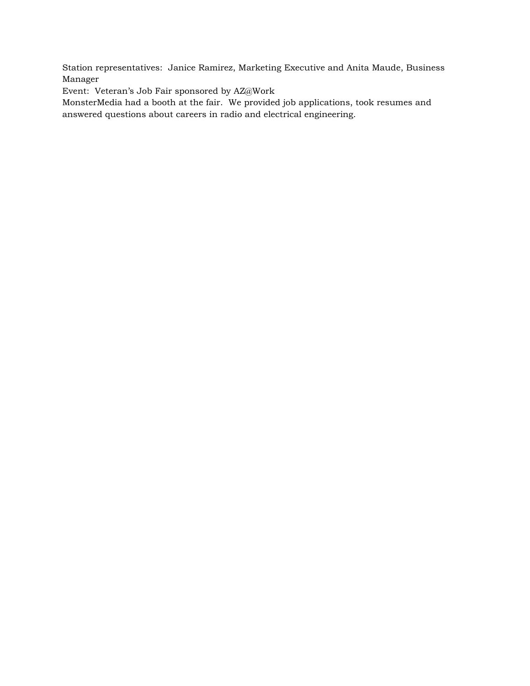Station representatives: Janice Ramirez, Marketing Executive and Anita Maude, Business Manager

Event: Veteran's Job Fair sponsored by AZ@Work

MonsterMedia had a booth at the fair. We provided job applications, took resumes and answered questions about careers in radio and electrical engineering.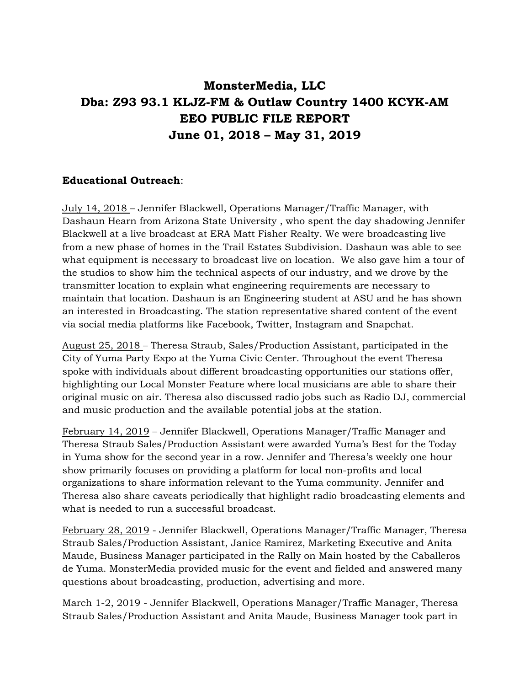# **MonsterMedia, LLC Dba: Z93 93.1 KLJZ-FM & Outlaw Country 1400 KCYK-AM EEO PUBLIC FILE REPORT June 01, 2018 – May 31, 2019**

### **Educational Outreach**:

July 14, 2018 – Jennifer Blackwell, Operations Manager/Traffic Manager, with Dashaun Hearn from Arizona State University , who spent the day shadowing Jennifer Blackwell at a live broadcast at ERA Matt Fisher Realty. We were broadcasting live from a new phase of homes in the Trail Estates Subdivision. Dashaun was able to see what equipment is necessary to broadcast live on location. We also gave him a tour of the studios to show him the technical aspects of our industry, and we drove by the transmitter location to explain what engineering requirements are necessary to maintain that location. Dashaun is an Engineering student at ASU and he has shown an interested in Broadcasting. The station representative shared content of the event via social media platforms like Facebook, Twitter, Instagram and Snapchat.

August 25, 2018 – Theresa Straub, Sales/Production Assistant, participated in the City of Yuma Party Expo at the Yuma Civic Center. Throughout the event Theresa spoke with individuals about different broadcasting opportunities our stations offer, highlighting our Local Monster Feature where local musicians are able to share their original music on air. Theresa also discussed radio jobs such as Radio DJ, commercial and music production and the available potential jobs at the station.

February 14, 2019 – Jennifer Blackwell, Operations Manager/Traffic Manager and Theresa Straub Sales/Production Assistant were awarded Yuma's Best for the Today in Yuma show for the second year in a row. Jennifer and Theresa's weekly one hour show primarily focuses on providing a platform for local non-profits and local organizations to share information relevant to the Yuma community. Jennifer and Theresa also share caveats periodically that highlight radio broadcasting elements and what is needed to run a successful broadcast.

February 28, 2019 - Jennifer Blackwell, Operations Manager/Traffic Manager, Theresa Straub Sales/Production Assistant, Janice Ramirez, Marketing Executive and Anita Maude, Business Manager participated in the Rally on Main hosted by the Caballeros de Yuma. MonsterMedia provided music for the event and fielded and answered many questions about broadcasting, production, advertising and more.

March 1-2, 2019 - Jennifer Blackwell, Operations Manager/Traffic Manager, Theresa Straub Sales/Production Assistant and Anita Maude, Business Manager took part in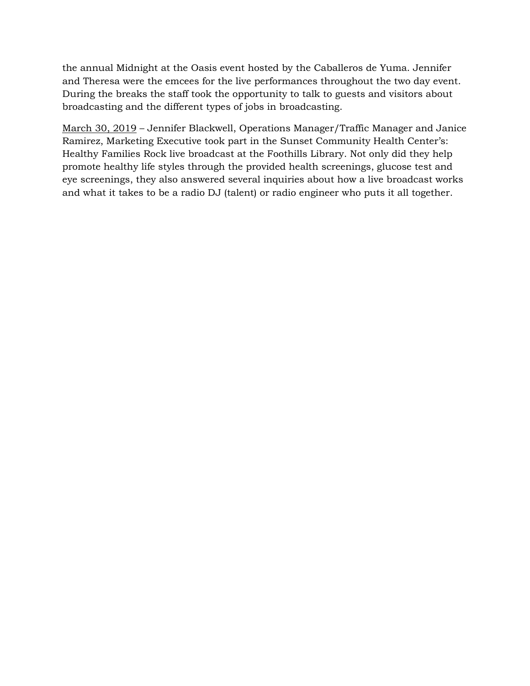the annual Midnight at the Oasis event hosted by the Caballeros de Yuma. Jennifer and Theresa were the emcees for the live performances throughout the two day event. During the breaks the staff took the opportunity to talk to guests and visitors about broadcasting and the different types of jobs in broadcasting.

March 30, 2019 – Jennifer Blackwell, Operations Manager/Traffic Manager and Janice Ramirez, Marketing Executive took part in the Sunset Community Health Center's: Healthy Families Rock live broadcast at the Foothills Library. Not only did they help promote healthy life styles through the provided health screenings, glucose test and eye screenings, they also answered several inquiries about how a live broadcast works and what it takes to be a radio DJ (talent) or radio engineer who puts it all together.